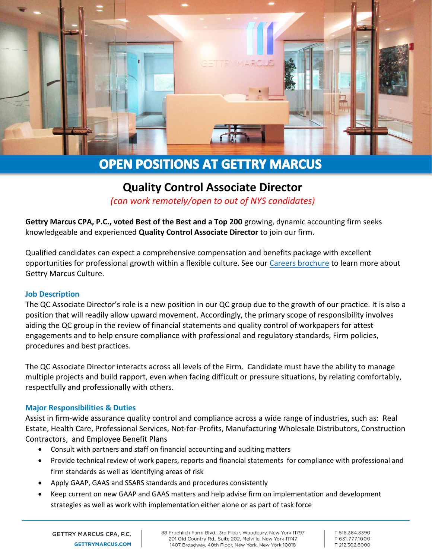

# **OPEN POSITIONS AT GETTRY MARCUS**

## **Quality Control Associate Director**

*(can work remotely/open to out of NYS candidates)*

**Gettry Marcus CPA, P.C., voted Best of the Best and a Top 200** growing, dynamic accounting firm seeks knowledgeable and experienced **Quality Control Associate Director** to join our firm.

Qualified candidates can expect a comprehensive compensation and benefits package with excellent opportunities for professional growth within a flexible culture. See our [Careers brochure](http://www.gettrymarcus.net/brochure-our-vision-your-future/0688102001571768487) to learn more about Gettry Marcus Culture.

### **Job Description**

The QC Associate Director's role is a new position in our QC group due to the growth of our practice. It is also a position that will readily allow upward movement. Accordingly, the primary scope of responsibility involves aiding the QC group in the review of financial statements and quality control of workpapers for attest engagements and to help ensure compliance with professional and regulatory standards, Firm policies, procedures and best practices.

The QC Associate Director interacts across all levels of the Firm. Candidate must have the ability to manage multiple projects and build rapport, even when facing difficult or pressure situations, by relating comfortably, respectfully and professionally with others.

### **Major Responsibilities & Duties**

Assist in firm-wide assurance quality control and compliance across a wide range of industries, such as: Real Estate, Health Care, Professional Services, Not-for-Profits, Manufacturing Wholesale Distributors, Construction Contractors, and Employee Benefit Plans

- Consult with partners and staff on financial accounting and auditing matters
- Provide technical review of work papers, reports and financial statements for compliance with professional and firm standards as well as identifying areas of risk
- Apply GAAP, GAAS and SSARS standards and procedures consistently
- Keep current on new GAAP and GAAS matters and help advise firm on implementation and development strategies as well as work with implementation either alone or as part of task force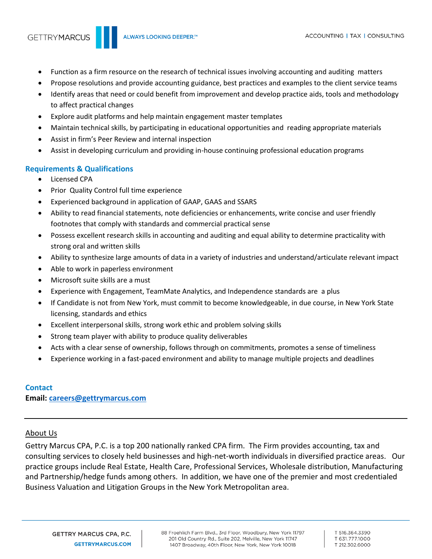- Function as a firm resource on the research of technical issues involving accounting and auditing matters
- Propose resolutions and provide accounting guidance, best practices and examples to the client service teams
- Identify areas that need or could benefit from improvement and develop practice aids, tools and methodology to affect practical changes
- Explore audit platforms and help maintain engagement master templates
- Maintain technical skills, by participating in educational opportunities and reading appropriate materials
- Assist in firm's Peer Review and internal inspection
- Assist in developing curriculum and providing in-house continuing professional education programs

### **Requirements & Qualifications**

- Licensed CPA
- Prior Quality Control full time experience
- Experienced background in application of GAAP, GAAS and SSARS
- Ability to read financial statements, note deficiencies or enhancements, write concise and user friendly footnotes that comply with standards and commercial practical sense
- Possess excellent research skills in accounting and auditing and equal ability to determine practicality with strong oral and written skills
- Ability to synthesize large amounts of data in a variety of industries and understand/articulate relevant impact
- Able to work in paperless environment
- Microsoft suite skills are a must
- Experience with Engagement, TeamMate Analytics, and Independence standards are a plus
- If Candidate is not from New York, must commit to become knowledgeable, in due course, in New York State licensing, standards and ethics
- Excellent interpersonal skills, strong work ethic and problem solving skills
- Strong team player with ability to produce quality deliverables
- Acts with a clear sense of ownership, follows through on commitments, promotes a sense of timeliness
- Experience working in a fast-paced environment and ability to manage multiple projects and deadlines

#### **Contact**

**Email: [careers@gettrymarcus.com](mailto:careers@gettrymarcus.com)**

### About Us

Gettry Marcus CPA, P.C. is a top 200 nationally ranked CPA firm. The Firm provides accounting, tax and consulting services to closely held businesses and high-net-worth individuals in diversified practice areas. Our practice groups include Real Estate, Health Care, Professional Services, Wholesale distribution, Manufacturing and Partnership/hedge funds among others. In addition, we have one of the premier and most credentialed Business Valuation and Litigation Groups in the New York Metropolitan area.